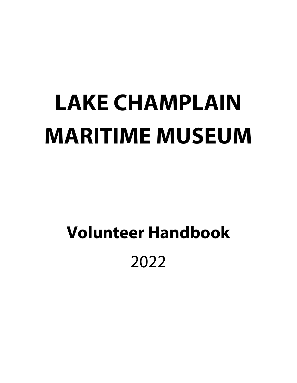# **LAKE CHAMPLAIN MARITIME MUSEUM**

# **Volunteer Handbook**  2022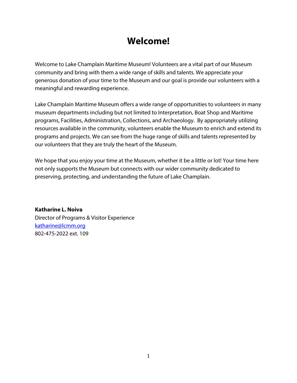# **Welcome!**

Welcome to Lake Champlain Maritime Museum! Volunteers are a vital part of our Museum community and bring with them a wide range of skills and talents. We appreciate your generous donation of your time to the Museum and our goal is provide our volunteers with a meaningful and rewarding experience.

Lake Champlain Maritime Museum offers a wide range of opportunities to volunteers in many museum departments including but not limited to Interpretation, Boat Shop and Maritime programs, Facilities, Administration, Collections, and Archaeology. By appropriately utilizing resources available in the community, volunteers enable the Museum to enrich and extend its programs and projects. We can see from the huge range of skills and talents represented by our volunteers that they are truly the heart of the Museum.

We hope that you enjoy your time at the Museum, whether it be a little or lot! Your time here not only supports the Museum but connects with our wider community dedicated to preserving, protecting, and understanding the future of Lake Champlain.

**Katharine L. Noiva** Director of Programs & Visitor Experience [katharine@lcmm.org](mailto:katharine@lcmm.org) 802-475-2022 ext. 109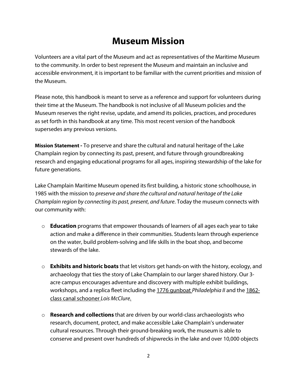# **Museum Mission**

Volunteers are a vital part of the Museum and act as representatives of the Maritime Museum to the community. In order to best represent the Museum and maintain an inclusive and accessible environment, it is important to be familiar with the current priorities and mission of the Museum.

Please note, this handbook is meant to serve as a reference and support for volunteers during their time at the Museum. The handbook is not inclusive of all Museum policies and the Museum reserves the right revise, update, and amend its policies, practices, and procedures as set forth in this handbook at any time. This most recent version of the handbook supersedes any previous versions.

**Mission Statement -** To preserve and share the cultural and natural heritage of the Lake Champlain region by connecting its past, present, and future through groundbreaking research and engaging educational programs for all ages, inspiring stewardship of the lake for future generations.

Lake Champlain Maritime Museum opened its first building, a historic stone schoolhouse, in 1985 with the mission to *preserve and share the cultural and natural heritage of the Lake Champlain region by connecting its past, present, and future*. Today the museum connects with our community with:

- o **Education** programs that empower thousands of learners of all ages each year to take action and make a difference in their communities. Students learn through experience on the water, build problem-solving and life skills in the boat shop, and become stewards of the lake.
- o **Exhibits and historic boats** that let visitors get hands-on with the history, ecology, and archaeology that ties the story of Lake Champlain to our larger shared history. Our 3 acre campus encourages adventure and discovery with multiple exhibit buildings, workshops, and a replica fleet including the 1776 gunboat *[Philadelphia](https://www.lcmm.org/visit/philadelphia-ii/) [II](https://www.lcmm.org/visit/philadelphia-ii/)* and the [1862](https://www.lcmm.org/visit/lois-mcclure/) class canal [schooner](https://www.lcmm.org/visit/lois-mcclure/) *Lois McClure*.
- o **Research and collections** that are driven by our world-class archaeologists who research, document, protect, and make accessible Lake Champlain's underwater cultural resources. Through their ground-breaking work, the museum is able to conserve and present over hundreds of shipwrecks in the lake and over 10,000 objects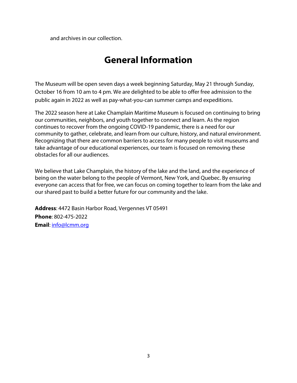and archives in our collection.

# **General Information**

The Museum will be open seven days a week beginning Saturday, May 21 through Sunday, October 16 from 10 am to 4 pm. We are delighted to be able to offer free admission to the public again in 2022 as well as pay-what-you-can summer camps and expeditions.

The 2022 season here at Lake Champlain Maritime Museum is focused on continuing to bring our communities, neighbors, and youth together to connect and learn. As the region continues to recover from the ongoing COVID-19 pandemic, there is a need for our community to gather, celebrate, and learn from our culture, history, and natural environment. Recognizing that there are common barriers to access for many people to visit museums and take advantage of our educational experiences, our team is focused on removing these obstacles for all our audiences.

We believe that Lake Champlain, the history of the lake and the land, and the experience of being on the water belong to the people of Vermont, New York, and Quebec. By ensuring everyone can access that for free, we can focus on coming together to learn from the lake and our shared past to build a better future for our community and the lake.

**Address**: 4472 Basin Harbor Road, Vergennes VT 05491 **Phone**: 802-475-2022 **Email**[: info@lcmm.org](mailto:info@lcmm.org)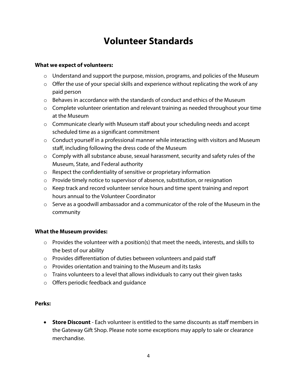# **Volunteer Standards**

# **What we expect of volunteers:**

- o Understand and support the purpose, mission, programs, and policies of the Museum
- $\circ$  Offer the use of your special skills and experience without replicating the work of any paid person
- $\circ$  Behaves in accordance with the standards of conduct and ethics of the Museum
- $\circ$  Complete volunteer orientation and relevant training as needed throughout your time at the Museum
- o Communicate clearly with Museum staff about your scheduling needs and accept scheduled time as a significant commitment
- o Conduct yourself in a professional manner while interacting with visitors and Museum staff, including following the dress code of the Museum
- $\circ$  Comply with all substance abuse, sexual harassment, security and safety rules of the Museum, State, and Federal authority
- o Respect the confidentiality of sensitive or proprietary information
- o Provide timely notice to supervisor of absence, substitution, or resignation
- o Keep track and record volunteer service hours and time spent training and report hours annual to the Volunteer Coordinator
- o Serve as a goodwill ambassador and a communicator of the role of the Museum in the community

# **What the Museum provides:**

- $\circ$  Provides the volunteer with a position(s) that meet the needs, interests, and skills to the best of our ability
- o Provides differentiation of duties between volunteers and paid staff
- o Provides orientation and training to the Museum and its tasks
- $\circ$  Trains volunteers to a level that allows individuals to carry out their given tasks
- o Offers periodic feedback and guidance

# **Perks:**

• **Store Discount** - Each volunteer is entitled to the same discounts as staff members in the Gateway Gift Shop. Please note some exceptions may apply to sale or clearance merchandise.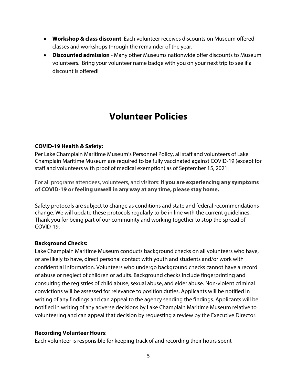- **Workshop & class discount**: Each volunteer receives discounts on Museum offered classes and workshops through the remainder of the year.
- **Discounted admission** Many other Museums nationwide offer discounts to Museum volunteers. Bring your volunteer name badge with you on your next trip to see if a discount is offered!

# **Volunteer Policies**

# **COVID-19 Health & Safety:**

Per Lake Champlain Maritime Museum's Personnel Policy, all staff and volunteers of Lake Champlain Maritime Museum are required to be fully vaccinated against COVID-19 (except for staff and volunteers with proof of medical exemption) as of September 15, 2021.

For all programs attendees, volunteers, and visitors: **If you are experiencing any symptoms of COVID-19 or feeling unwell in any way at any time, please stay home.**

Safety protocols are subject to change as conditions and state and federal recommendations change. We will update these protocols regularly to be in line with the current guidelines. Thank you for being part of our community and working together to stop the spread of COVID-19.

# **Background Checks:**

Lake Champlain Maritime Museum conducts background checks on all volunteers who have, or are likely to have, direct personal contact with youth and students and/or work with confidential information. Volunteers who undergo background checks cannot have a record of abuse or neglect of children or adults. Background checks include fingerprinting and consulting the registries of child abuse, sexual abuse, and elder abuse. Non-violent criminal convictions will be assessed for relevance to position duties. Applicants will be notified in writing of any findings and can appeal to the agency sending the findings. Applicants will be notified in writing of any adverse decisions by Lake Champlain Maritime Museum relative to volunteering and can appeal that decision by requesting a review by the Executive Director.

# **Recording Volunteer Hours**:

Each volunteer is responsible for keeping track of and recording their hours spent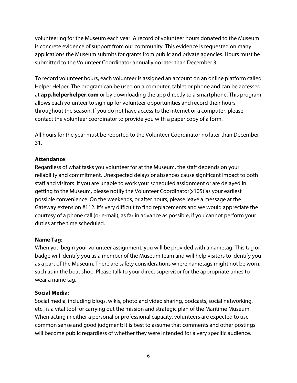volunteering for the Museum each year. A record of volunteer hours donated to the Museum is concrete evidence of support from our community. This evidence is requested on many applications the Museum submits for grants from public and private agencies. Hours must be submitted to the Volunteer Coordinator annually no later than December 31.

To record volunteer hours, each volunteer is assigned an account on an online platform called Helper Helper. The program can be used on a computer, tablet or phone and can be accessed at **app.helperhelper.com** or by downloading the app directly to a smartphone. This program allows each volunteer to sign up for volunteer opportunities and record their hours throughout the season. If you do not have access to the internet or a computer, please contact the volunteer coordinator to provide you with a paper copy of a form.

All hours for the year must be reported to the Volunteer Coordinator no later than December 31.

# **Attendance**:

Regardless of what tasks you volunteer for at the Museum, the staff depends on your reliability and commitment. Unexpected delays or absences cause significant impact to both staff and visitors. If you are unable to work your scheduled assignment or are delayed in getting to the Museum, please notify the Volunteer Coordinator(x105) as your earliest possible convenience. On the weekends, or after hours, please leave a message at the Gateway extension #112. It's very difficult to find replacements and we would appreciate the courtesy of a phone call (or e-mail), as far in advance as possible, if you cannot perform your duties at the time scheduled.

# **Name Tag**:

When you begin your volunteer assignment, you will be provided with a nametag. This tag or badge will identify you as a member of the Museum team and will help visitors to identify you as a part of the Museum. There are safety considerations where nametags might not be worn, such as in the boat shop. Please talk to your direct supervisor for the appropriate times to wear a name tag.

# **Social Media**:

Social media, including blogs, wikis, photo and video sharing, podcasts, social networking, etc., is a vital tool for carrying out the mission and strategic plan of the Maritime Museum. When acting in either a personal or professional capacity, volunteers are expected to use common sense and good judgment: It is best to assume that comments and other postings will become public regardless of whether they were intended for a very specific audience.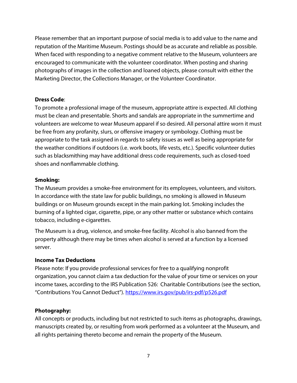Please remember that an important purpose of social media is to add value to the name and reputation of the Maritime Museum. Postings should be as accurate and reliable as possible. When faced with responding to a negative comment relative to the Museum, volunteers are encouraged to communicate with the volunteer coordinator. When posting and sharing photographs of images in the collection and loaned objects, please consult with either the Marketing Director, the Collections Manager, or the Volunteer Coordinator.

# **Dress Code**:

To promote a professional image of the museum, appropriate attire is expected. All clothing must be clean and presentable. Shorts and sandals are appropriate in the summertime and volunteers are welcome to wear Museum apparel if so desired. All personal attire worn it must be free from any profanity, slurs, or offensive imagery or symbology. Clothing must be appropriate to the task assigned in regards to safety issues as well as being appropriate for the weather conditions if outdoors (i.e. work boots, life vests, etc.). Specific volunteer duties such as blacksmithing may have additional dress code requirements, such as closed-toed shoes and nonflammable clothing.

# **Smoking:**

The Museum provides a smoke-free environment for its employees, volunteers, and visitors. In accordance with the state law for public buildings, no smoking is allowed in Museum buildings or on Museum grounds except in the main parking lot. Smoking includes the burning of a lighted cigar, cigarette, pipe, or any other matter or substance which contains tobacco, including e-cigarettes.

The Museum is a drug, violence, and smoke-free facility. Alcohol is also banned from the property although there may be times when alcohol is served at a function by a licensed server.

# **Income Tax Deductions**

Please note: If you provide professional services for free to a qualifying nonprofit organization, you cannot claim a tax deduction for the value of your time or services on your income taxes, according to the IRS Publication 526: Charitable Contributions (see the section, "Contributions You Cannot Deduct")[. https://www.irs.gov/pub/irs-pdf/p526.pdf](https://www.irs.gov/pub/irs-pdf/p526.pdf)

# **Photography:**

All concepts or products, including but not restricted to such items as photographs, drawings, manuscripts created by, or resulting from work performed as a volunteer at the Museum, and all rights pertaining thereto become and remain the property of the Museum.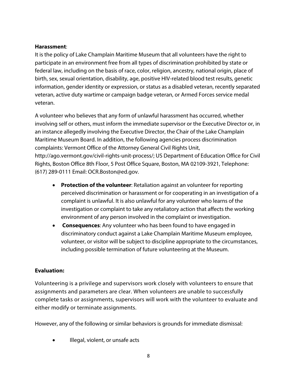### **Harassment**:

It is the policy of Lake Champlain Maritime Museum that all volunteers have the right to participate in an environment free from all types of discrimination prohibited by state or federal law, including on the basis of race, color, religion, ancestry, national origin, place of birth, sex, sexual orientation, disability, age, positive HIV-related blood test results, genetic information, gender identity or expression, or status as a disabled veteran, recently separated veteran, active duty wartime or campaign badge veteran, or Armed Forces service medal veteran.

A volunteer who believes that any form of unlawful harassment has occurred, whether involving self or others, must inform the immediate supervisor or the Executive Director or, in an instance allegedly involving the Executive Director, the Chair of the Lake Champlain Maritime Museum Board. In addition, the following agencies process discrimination complaints: Vermont Office of the Attorney General Civil Rights Unit, http://ago.vermont.gov/civil-rights-unit-process/; US Department of Education Office for Civil Rights, Boston Office 8th Floor, 5 Post Office Square, Boston, MA 02109-3921, Telephone: (617) 289-0111 Email: OCR.Boston@ed.gov.

- **Protection of the volunteer**: Retaliation against an volunteer for reporting perceived discrimination or harassment or for cooperating in an investigation of a complaint is unlawful. It is also unlawful for any volunteer who learns of the investigation or complaint to take any retaliatory action that affects the working environment of any person involved in the complaint or investigation.
- **Consequences**: Any volunteer who has been found to have engaged in discriminatory conduct against a Lake Champlain Maritime Museum employee, volunteer, or visitor will be subject to discipline appropriate to the circumstances, including possible termination of future volunteering at the Museum.

# **Evaluation:**

Volunteering is a privilege and supervisors work closely with volunteers to ensure that assignments and parameters are clear. When volunteers are unable to successfully complete tasks or assignments, supervisors will work with the volunteer to evaluate and either modify or terminate assignments.

However, any of the following or similar behaviors is grounds for immediate dismissal:

• Illegal, violent, or unsafe acts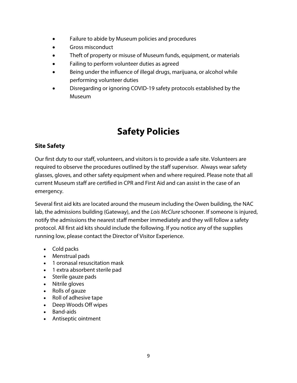- Failure to abide by Museum policies and procedures
- Gross misconduct
- Theft of property or misuse of Museum funds, equipment, or materials
- Failing to perform volunteer duties as agreed
- Being under the influence of illegal drugs, marijuana, or alcohol while performing volunteer duties
- Disregarding or ignoring COVID-19 safety protocols established by the Museum

# **Safety Policies**

# **Site Safety**

Our first duty to our staff, volunteers, and visitors is to provide a safe site. Volunteers are required to observe the procedures outlined by the staff supervisor. Always wear safety glasses, gloves, and other safety equipment when and where required. Please note that all current Museum staff are certified in CPR and First Aid and can assist in the case of an emergency.

Several first aid kits are located around the museum including the Owen building, the NAC lab, the admissions building (Gateway), and the *Lois McClure* schooner*.* If someone is injured, notify the admissions the nearest staff member immediately and they will follow a safety protocol. All first aid kits should include the following. If you notice any of the supplies running low, please contact the Director of Visitor Experience.

- Cold packs
- Menstrual pads
- 1 oronasal resuscitation mask
- 1 extra absorbent sterile pad
- Sterile gauze pads
- Nitrile gloves
- Rolls of gauze
- Roll of adhesive tape
- Deep Woods Off wipes
- Band-aids
- Antiseptic ointment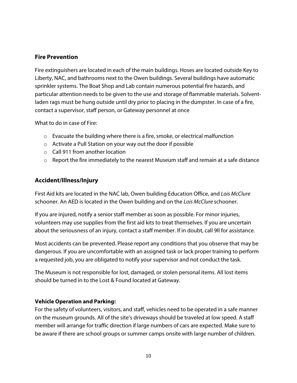# **Fire Prevention**

Fire extinguishers are located in each of the main buildings. Hoses are located outside Key to Liberty, NAC, and bathrooms next to the Owen buildings. Several buildings have automatic sprinkler systems. The Boat Shop and Lab contain numerous potential fire hazards, and particular attention needs to be given to the use and storage of flammable materials. Solventladen rags must be hung outside until dry prior to placing in the dumpster. In case of a fire, contact a supervisor, staff person, or Gateway personnel at once

What to do in case of Fire:

- $\circ$  Evacuate the building where there is a fire, smoke, or electrical malfunction
- o Activate a Pull Station on your way out the door if possible
- o Call 911 from another location
- o Report the fire immediately to the nearest Museum staff and remain at a safe distance

# **Accident/Illness/Injury**

First Aid kits are located in the NAC lab, Owen building Education Office, and *Lois McClure* schooner*.* An AED is located in the Owen building and on the *Lois McClure* schooner.

If you are injured, notify a senior staff member as soon as possible. For minor injuries, volunteers may use supplies from the first aid kits to treat themselves. If you are uncertain about the seriousness of an injury, contact a staff member. If in doubt, call 9ll for assistance.

Most accidents can be prevented. Please report any conditions that you observe that may be dangerous. If you are uncomfortable with an assigned task or lack proper training to perform a requested job, you are obligated to notify your supervisor and not conduct the task.

The Museum is not responsible for lost, damaged, or stolen personal items. All lost items should be turned in to the Lost & Found located at Gateway.

# **Vehicle Operation and Parking:**

For the safety of volunteers, visitors, and staff, vehicles need to be operated in a safe manner on the museum grounds. All of the site's driveways should be traveled at low speed. A staff member will arrange for traffic direction if large numbers of cars are expected. Make sure to be aware if there are school groups or summer camps onsite with large number of children.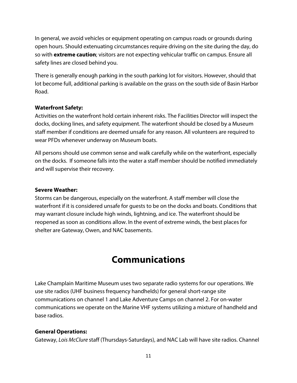In general, we avoid vehicles or equipment operating on campus roads or grounds during open hours. Should extenuating circumstances require driving on the site during the day, do so with **extreme caution**; visitors are not expecting vehicular traffic on campus. Ensure all safety lines are closed behind you.

There is generally enough parking in the south parking lot for visitors. However, should that lot become full, additional parking is available on the grass on the south side of Basin Harbor Road.

# **Waterfront Safety:**

Activities on the waterfront hold certain inherent risks. The Facilities Director will inspect the docks, docking lines, and safety equipment. The waterfront should be closed by a Museum staff member if conditions are deemed unsafe for any reason. All volunteers are required to wear PFDs whenever underway on Museum boats.

All persons should use common sense and walk carefully while on the waterfront, especially on the docks. If someone falls into the water a staff member should be notified immediately and will supervise their recovery.

### **Severe Weather:**

Storms can be dangerous, especially on the waterfront. A staff member will close the waterfront if it is considered unsafe for guests to be on the docks and boats. Conditions that may warrant closure include high winds, lightning, and ice. The waterfront should be reopened as soon as conditions allow. In the event of extreme winds, the best places for shelter are Gateway, Owen, and NAC basements.

# **Communications**

Lake Champlain Maritime Museum uses two separate radio systems for our operations. We use site radios (UHF business frequency handhelds) for general short-range site communications on channel 1 and Lake Adventure Camps on channel 2. For on-water communications we operate on the Marine VHF systems utilizing a mixture of handheld and base radios.

# **General Operations:**

Gateway, *Lois McClure* staff (Thursdays-Saturdays), and NAC Lab will have site radios. Channel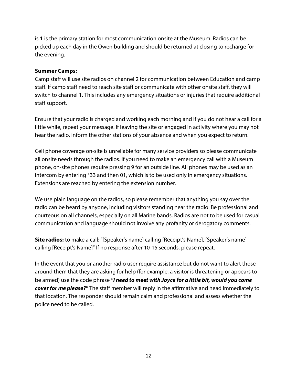is **1** is the primary station for most communication onsite at the Museum. Radios can be picked up each day in the Owen building and should be returned at closing to recharge for the evening.

# **Summer Camps:**

Camp staff will use site radios on channel 2 for communication between Education and camp staff. If camp staff need to reach site staff or communicate with other onsite staff, they will switch to channel 1. This includes any emergency situations or injuries that require additional staff support.

Ensure that your radio is charged and working each morning and if you do not hear a call for a little while, repeat your message. If leaving the site or engaged in activity where you may not hear the radio, inform the other stations of your absence and when you expect to return.

Cell phone coverage on-site is unreliable for many service providers so please communicate all onsite needs through the radios. If you need to make an emergency call with a Museum phone, on-site phones require pressing 9 for an outside line. All phones may be used as an intercom by entering \*33 and then 01, which is to be used only in emergency situations. Extensions are reached by entering the extension number.

We use plain language on the radios, so please remember that anything you say over the radio can be heard by anyone, including visitors standing near the radio. Be professional and courteous on all channels, especially on all Marine bands. Radios are not to be used for casual communication and language should not involve any profanity or derogatory comments.

**Site radios:** to make a call: "[Speaker's name] calling [Receipt's Name], [Speaker's name] calling [Receipt's Name]" If no response after 10-15 seconds, please repeat.

In the event that you or another radio user require assistance but do not want to alert those around them that they are asking for help (for example, a visitor is threatening or appears to be armed) use the code phrase *"I need to meet with Joyce for a little bit, would you come cover for me please?"* The staff member will reply in the affirmative and head immediately to that location. The responder should remain calm and professional and assess whether the police need to be called.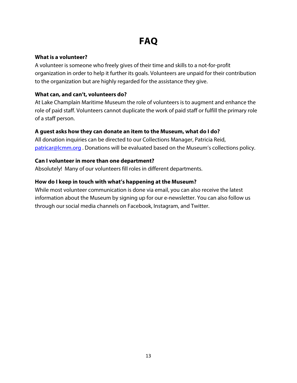# **FAQ**

# **What is a volunteer?**

A volunteer is someone who freely gives of their time and skills to a not-for-profit organization in order to help it further its goals. Volunteers are unpaid for their contribution to the organization but are highly regarded for the assistance they give.

# **What can, and can't, volunteers do?**

At Lake Champlain Maritime Museum the role of volunteers is to augment and enhance the role of paid staff. Volunteers cannot duplicate the work of paid staff or fulfill the primary role of a staff person.

# **A guest asks how they can donate an item to the Museum, what do I do?**

All donation inquiries can be directed to our Collections Manager, Patricia Reid, [patricar@lcmm.org](mailto:patricar@lcmm.org). Donations will be evaluated based on the Museum's collections policy.

# **Can I volunteer in more than one department?**

Absolutely! Many of our volunteers fill roles in different departments.

# **How do I keep in touch with what's happening at the Museum?**

While most volunteer communication is done via email, you can also receive the latest information about the Museum by signing up for our e-newsletter. You can also follow us through our social media channels on Facebook, Instagram, and Twitter.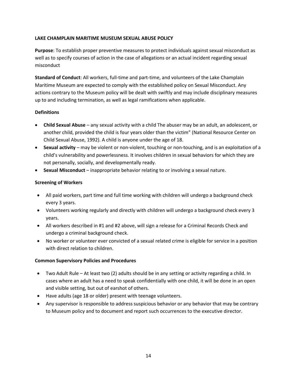#### **LAKE CHAMPLAIN MARITIME MUSEUM SEXUAL ABUSE POLICY**

**Purpose**: To establish proper preventive measures to protect individuals against sexual misconduct as well as to specify courses of action in the case of allegations or an actual incident regarding sexual misconduct

**Standard of Conduct**: All workers, full-time and part-time, and volunteers of the Lake Champlain Maritime Museum are expected to comply with the established policy on Sexual Misconduct. Any actions contrary to the Museum policy will be dealt with swiftly and may include disciplinary measures up to and including termination, as well as legal ramifications when applicable.

#### **Definitions**

- **Child Sexual Abuse** any sexual activity with a child The abuser may be an adult, an adolescent, or another child, provided the child is four years older than the victim" (National Resource Center on Child Sexual Abuse, 1992). A child is anyone under the age of 18.
- **Sexual activity** may be violent or non-violent, touching or non-touching, and is an exploitation of a child's vulnerability and powerlessness. It involves children in sexual behaviors for which they are not personally, socially, and developmentally ready.
- **Sexual Misconduct** inappropriate behavior relating to or involving a sexual nature.

#### **Screening of Workers**

- All paid workers, part time and full time working with children will undergo a background check every 3 years.
- Volunteers working regularly and directly with children will undergo a background check every 3 years.
- All workers described in #1 and #2 above, will sign a release for a Criminal Records Check and undergo a criminal background check.
- No worker or volunteer ever convicted of a sexual related crime is eligible for service in a position with direct relation to children.

#### **Common Supervisory Policies and Procedures**

- Two Adult Rule At least two (2) adults should be in any setting or activity regarding a child. In cases where an adult has a need to speak confidentially with one child, it will be done in an open and visible setting, but out of earshot of others.
- Have adults (age 18 or older) present with teenage volunteers.
- Any supervisor is responsible to address suspicious behavior or any behavior that may be contrary to Museum policy and to document and report such occurrences to the executive director.